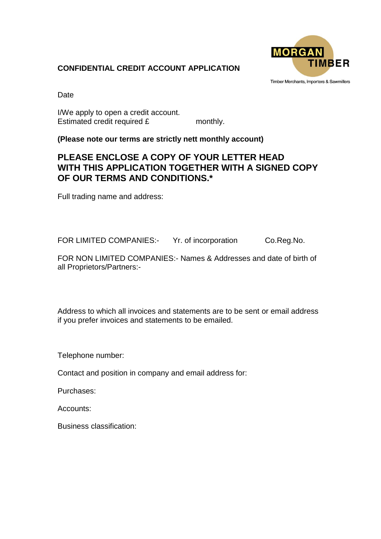## **CONFIDENTIAL CREDIT ACCOUNT APPLICATION**



Timber Merchants, Importers & Sawmillers

Date

I/We apply to open a credit account. Estimated credit required £ monthly.

**(Please note our terms are strictly nett monthly account)**

## **PLEASE ENCLOSE A COPY OF YOUR LETTER HEAD WITH THIS APPLICATION TOGETHER WITH A SIGNED COPY OF OUR TERMS AND CONDITIONS.\***

Full trading name and address:

FOR LIMITED COMPANIES:- Yr. of incorporation Co.Reg.No.

FOR NON LIMITED COMPANIES:- Names & Addresses and date of birth of all Proprietors/Partners:-

Address to which all invoices and statements are to be sent or email address if you prefer invoices and statements to be emailed.

Telephone number:

Contact and position in company and email address for:

Purchases:

Accounts:

Business classification: